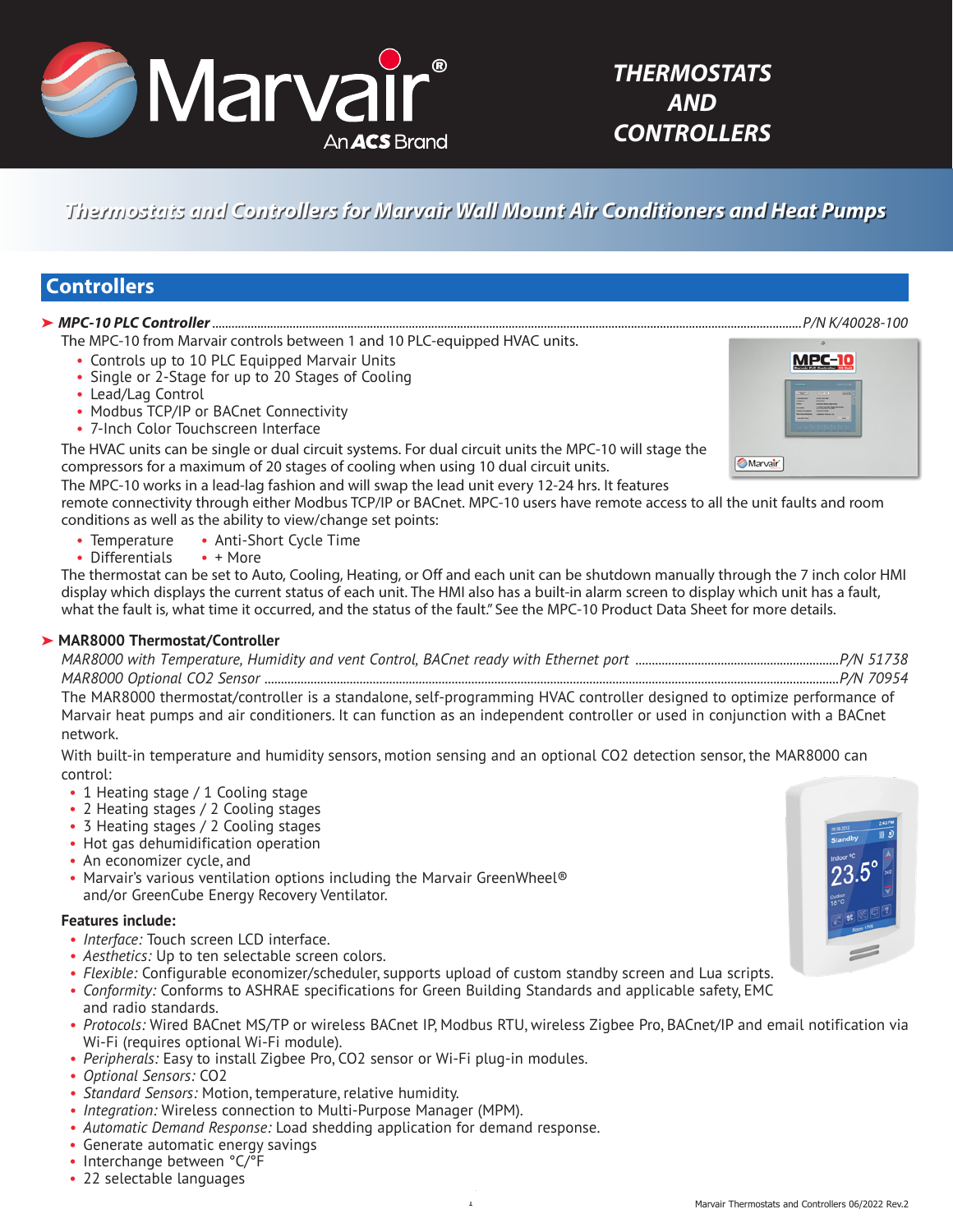

# *Thermostats and Controllers for Marvair Wall Mount Air Conditioners and Heat Pumps*

# **Controllers**

# ➤ *MPC-10 PLC Controller*.......................................................................................................................................................................................*P/N K/40028-100*

The MPC-10 from Marvair controls between 1 and 10 PLC-equipped HVAC units.

- Controls up to 10 PLC Equipped Marvair Units
- Single or 2-Stage for up to 20 Stages of Cooling
- Lead/Lag Control
- Modbus TCP/IP or BACnet Connectivity
- 7-Inch Color Touchscreen Interface

The HVAC units can be single or dual circuit systems. For dual circuit units the MPC-10 will stage the compressors for a maximum of 20 stages of cooling when using 10 dual circuit units.

The MPC-10 works in a lead-lag fashion and will swap the lead unit every 12-24 hrs. It features

remote connectivity through either Modbus TCP/IP or BACnet. MPC-10 users have remote access to all the unit faults and room conditions as well as the ability to view/change set points:

- Temperature Anti-Short Cycle Time
- Differentials + More

The thermostat can be set to Auto, Cooling, Heating, or Off and each unit can be shutdown manually through the 7 inch color HMI display which displays the current status of each unit. The HMI also has a built-in alarm screen to display which unit has a fault, what the fault is, what time it occurred, and the status of the fault." See the MPC-10 Product Data Sheet for more details.

# ➤ **MAR8000 Thermostat/Controller**

| MAR8000 with Temperature, Humidity and vent Control, BACnet ready with Ethernet port |  | P/N 51738. |
|--------------------------------------------------------------------------------------|--|------------|
| MAR8000 Optional CO2 Sensor.                                                         |  | P/N 70954. |

The MAR8000 thermostat/controller is a standalone, self-programming HVAC controller designed to optimize performance of Marvair heat pumps and air conditioners. It can function as an independent controller or used in conjunction with a BACnet network.

With built-in temperature and humidity sensors, motion sensing and an optional CO2 detection sensor, the MAR8000 can control:

- 1 Heating stage / 1 Cooling stage
- 2 Heating stages / 2 Cooling stages
- 3 Heating stages / 2 Cooling stages
- Hot gas dehumidification operation
- An economizer cycle, and
- Marvair's various ventilation options including the Marvair GreenWheel<sup>®</sup> and/or GreenCube Energy Recovery Ventilator.

# **Features include:**

- *• Interface:* Touch screen LCD interface.
- *• Aesthetics:* Up to ten selectable screen colors.
- *• Flexible:* Configurable economizer/scheduler, supports upload of custom standby screen and Lua scripts.
- *• Conformity:* Conforms to ASHRAE specifications for Green Building Standards and applicable safety, EMC and radio standards.
- *• Protocols:* Wired BACnet MS/TP or wireless BACnet IP, Modbus RTU, wireless Zigbee Pro, BACnet/IP and email notification via Wi-Fi (requires optional Wi-Fi module).
- *• Peripherals:* Easy to install Zigbee Pro, CO2 sensor or Wi-Fi plug-in modules.
- *• Optional Sensors:* CO2
- *• Standard Sensors:* Motion, temperature, relative humidity.
- *• Integration:* Wireless connection to Multi-Purpose Manager (MPM).
- *• Automatic Demand Response:* Load shedding application for demand response.
- Generate automatic energy savings
- Interchange between °C/°F
- 22 selectable languages



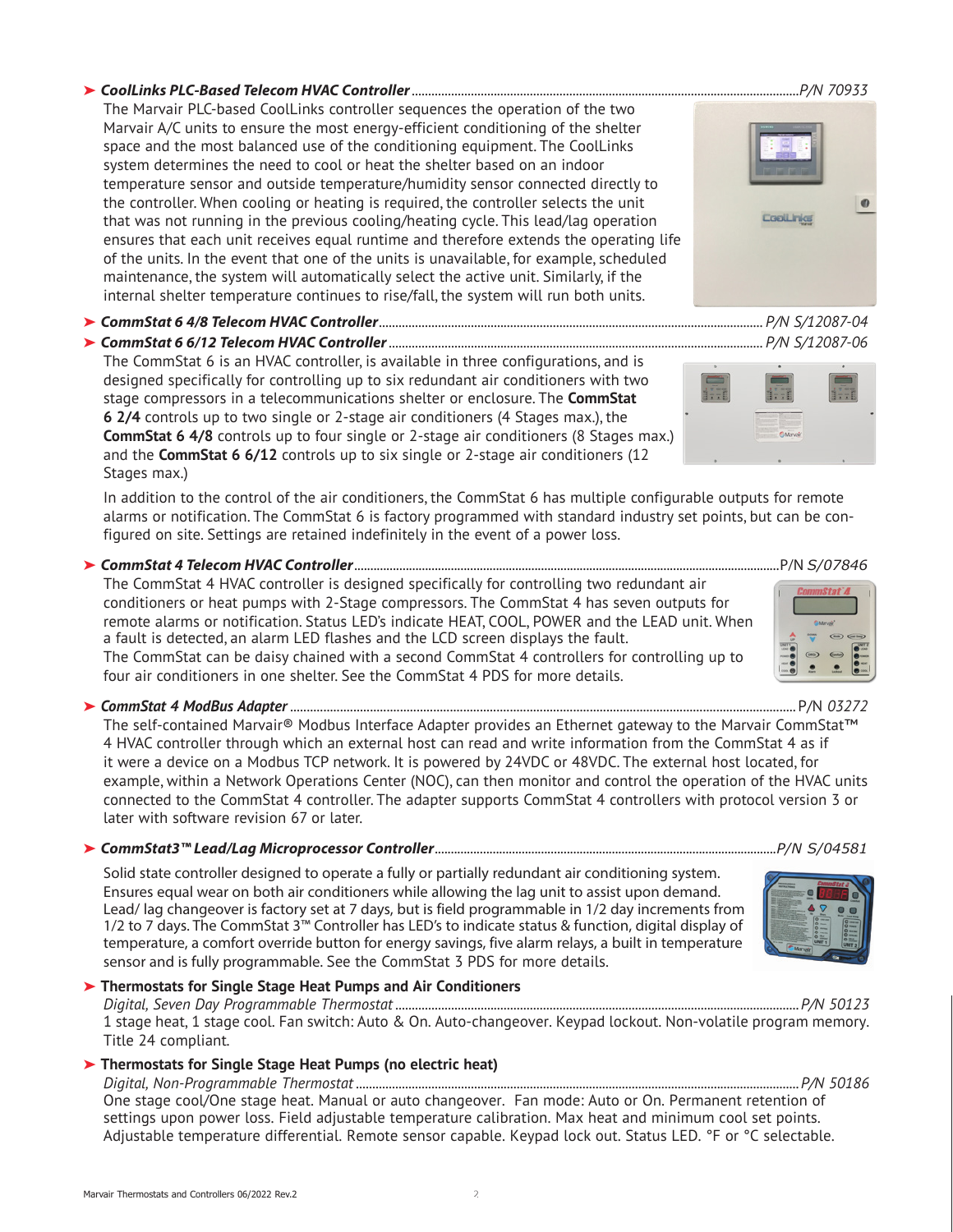#### ➤ *CoolLinks PLC-Based Telecom HVAC Controller......................................................................................................................P/N 70933*

The Marvair PLC-based CoolLinks controller sequences the operation of the two Marvair A/C units to ensure the most energy-efficient conditioning of the shelter space and the most balanced use of the conditioning equipment. The CoolLinks system determines the need to cool or heat the shelter based on an indoor temperature sensor and outside temperature/humidity sensor connected directly to the controller. When cooling or heating is required, the controller selects the unit that was not running in the previous cooling/heating cycle. This lead/lag operation ensures that each unit receives equal runtime and therefore extends the operating life of the units. In the event that one of the units is unavailable, for example, scheduled maintenance, the system will automatically select the active unit. Similarly, if the internal shelter temperature continues to rise/fall, the system will run both units.

➤ *CommStat 6 4/8 Telecom HVAC Controller..................................................................................................................... P/N S/12087-04*

➤ *CommStat 6 6/12 Telecom HVAC Controller.................................................................................................................. P/N S/12087-06*

The CommStat 6 is an HVAC controller, is available in three configurations, and is designed specifically for controlling up to six redundant air conditioners with two stage compressors in a telecommunications shelter or enclosure. The **CommStat 6 2/4** controls up to two single or 2-stage air conditioners (4 Stages max.), the **CommStat 6 4/8** controls up to four single or 2-stage air conditioners (8 Stages max.) and the **CommStat 6 6/12** controls up to six single or 2-stage air conditioners (12 Stages max.)

In addition to the control of the air conditioners, the CommStat 6 has multiple configurable outputs for remote alarms or notification. The CommStat 6 is factory programmed with standard industry set points, but can be configured on site. Settings are retained indefinitely in the event of a power loss.

### ➤ *CommStat 4 Telecom HVAC Controller*....................................................................................................................................P/N *S/07846*

The CommStat 4 HVAC controller is designed specifically for controlling two redundant air conditioners or heat pumps with 2-Stage compressors. The CommStat 4 has seven outputs for remote alarms or notification. Status LED's indicate HEAT, COOL, POWER and the LEAD unit. When a fault is detected, an alarm LED flashes and the LCD screen displays the fault. The CommStat can be daisy chained with a second CommStat 4 controllers for controlling up to four air conditioners in one shelter. See the CommStat 4 PDS for more details.

➤ *CommStat 4 ModBus Adapter* ........................................................................................................................................................P/N *03272*

The self-contained Marvair® Modbus Interface Adapter provides an Ethernet gateway to the Marvair CommStat™ 4 HVAC controller through which an external host can read and write information from the CommStat 4 as if it were a device on a Modbus TCP network. It is powered by 24VDC or 48VDC. The external host located, for example, within a Network Operations Center (NOC), can then monitor and control the operation of the HVAC units connected to the CommStat 4 controller. The adapter supports CommStat 4 controllers with protocol version 3 or later with software revision 67 or later.

#### ➤ *CommStat3™ Lead/Lag Microprocessor Controller*..........................................................................................................*P/N S/04581*

Solid state controller designed to operate a fully or partially redundant air conditioning system. Ensures equal wear on both air conditioners while allowing the lag unit to assist upon demand. Lead/ lag changeover is factory set at 7 days, but is field programmable in 1/2 day increments from 1/2 to 7 days. The CommStat 3™ Controller has LED's to indicate status & function, digital display of temperature, a comfort override button for energy savings, five alarm relays, a built in temperature sensor and is fully programmable. See the CommStat 3 PDS for more details.

#### ➤ **Thermostats for Single Stage Heat Pumps and Air Conditioners**

*Digital, Seven Day Programmable Thermostat ...........................................................................................................................P/N 50123*  1 stage heat, 1 stage cool. Fan switch: Auto & On. Auto-changeover. Keypad lockout. Non-volatile program memory. Title 24 compliant*.*

### ➤ **Thermostats for Single Stage Heat Pumps (no electric heat)**

*Digital, Non-Programmable Thermostat .......................................................................................................................................P/N 50186* One stage cool/One stage heat. Manual or auto changeover. Fan mode: Auto or On. Permanent retention of settings upon power loss. Field adjustable temperature calibration. Max heat and minimum cool set points. Adjustable temperature differential. Remote sensor capable. Keypad lock out. Status LED. °F or °C selectable.